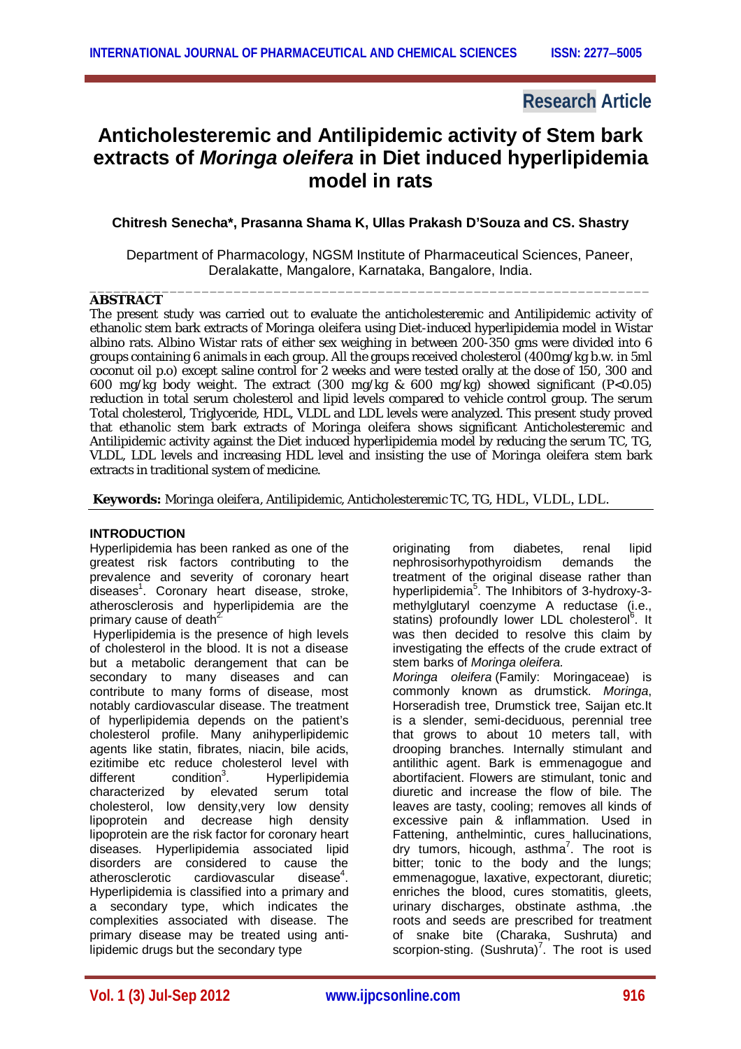# **Research Article**

# **Anticholesteremic and Antilipidemic activity of Stem bark extracts of** *Moringa oleifera* **in Diet induced hyperlipidemia model in rats**

# **Chitresh Senecha\*, Prasanna Shama K, Ullas Prakash D'Souza and CS. Shastry**

\_\_\_\_\_\_\_\_\_\_\_\_\_\_\_\_\_\_\_\_\_\_\_\_\_\_\_\_\_\_\_\_\_\_\_\_\_\_\_\_\_\_\_\_\_\_\_\_\_\_\_\_\_\_\_\_\_\_\_\_\_\_\_\_\_\_\_\_\_\_

 Department of Pharmacology, NGSM Institute of Pharmaceutical Sciences, Paneer, Deralakatte, Mangalore, Karnataka, Bangalore, India.

# **ABSTRACT**

The present study was carried out to evaluate the anticholesteremic and Antilipidemic activity of ethanolic stem bark extracts of *Moringa oleifera* using Diet-induced hyperlipidemia model in Wistar albino rats. Albino Wistar rats of either sex weighing in between 200-350 gms were divided into 6 groups containing 6 animals in each group. All the groups received cholesterol (400mg/kg b.w. in 5ml coconut oil p.o) except saline control for 2 weeks and were tested orally at the dose of 150, 300 and 600 mg/kg body weight. The extract (300 mg/kg & 600 mg/kg) showed significant (P<0.05) reduction in total serum cholesterol and lipid levels compared to vehicle control group. The serum Total cholesterol, Triglyceride, HDL, VLDL and LDL levels were analyzed. This present study proved that ethanolic stem bark extracts of *Moringa oleifera* shows significant Anticholesteremic and Antilipidemic activity against the Diet induced hyperlipidemia model by reducing the serum TC, TG, VLDL, LDL levels and increasing HDL level and insisting the use of *Moringa oleifera* stem bark extracts in traditional system of medicine.

**Keywords:** *Moringa oleifera*, Antilipidemic, Anticholesteremic TC, TG, HDL, VLDL, LDL.

# **INTRODUCTION**

Hyperlipidemia has been ranked as one of the greatest risk factors contributing to the prevalence and severity of coronary heart diseases<sup>1</sup> . Coronary heart disease, stroke, atherosclerosis and hyperlipidemia are the primary cause of death $2^2$ 

Hyperlipidemia is the presence of high levels of cholesterol in the blood. It is not a disease but a metabolic derangement that can be secondary to many diseases and can contribute to many forms of disease, most notably cardiovascular disease. The treatment of hyperlipidemia depends on the patient's cholesterol profile. Many anihyperlipidemic agents like statin, fibrates, niacin, bile acids, ezitimibe etc reduce cholesterol level with  $differential$  condition<sup>3</sup>. . Hyperlipidemia characterized by elevated serum total cholesterol, low density,very low density lipoprotein and decrease high density lipoprotein are the risk factor for coronary heart diseases. Hyperlipidemia associated lipid disorders are considered to cause the atherosclerotic cardiovascular disease<sup>4</sup>. cardiovascular  $disense<sup>4</sup>$ . Hyperlipidemia is classified into a primary and a secondary type, which indicates the complexities associated with disease. The primary disease may be treated using antilipidemic drugs but the secondary type

originating from diabetes, renal lipid nephrosisorhypothyroidism demands the treatment of the original disease rather than hyperlipidemia<sup>5</sup>. The Inhibitors of 3-hydroxy-3methylglutaryl coenzyme A reductase (i.e., statins) profoundly lower LDL cholesterol<sup>6</sup>. It was then decided to resolve this claim by investigating the effects of the crude extract of stem barks of *Moringa oleifera.*

*Moringa oleifera* (Family: Moringaceae) is commonly known as drumstick. *Moringa*, Horseradish tree, Drumstick tree, Saijan etc.It is a slender, semi-deciduous, perennial tree that grows to about 10 meters tall, with drooping branches. Internally stimulant and antilithic agent. Bark is emmenagogue and abortifacient. Flowers are stimulant, tonic and diuretic and increase the flow of bile. The leaves are tasty, cooling; removes all kinds of excessive pain & inflammation. Used in Fattening, anthelmintic, cures hallucinations, dry tumors, hicough, asthma<sup>7</sup>. The root is bitter; tonic to the body and the lungs; emmenagogue, laxative, expectorant, diuretic; enriches the blood, cures stomatitis, gleets, urinary discharges, obstinate asthma, .the roots and seeds are prescribed for treatment of snake bite (Charaka, Sushruta) and scorpion-sting.  $(Sushruta)^7$ . The root is used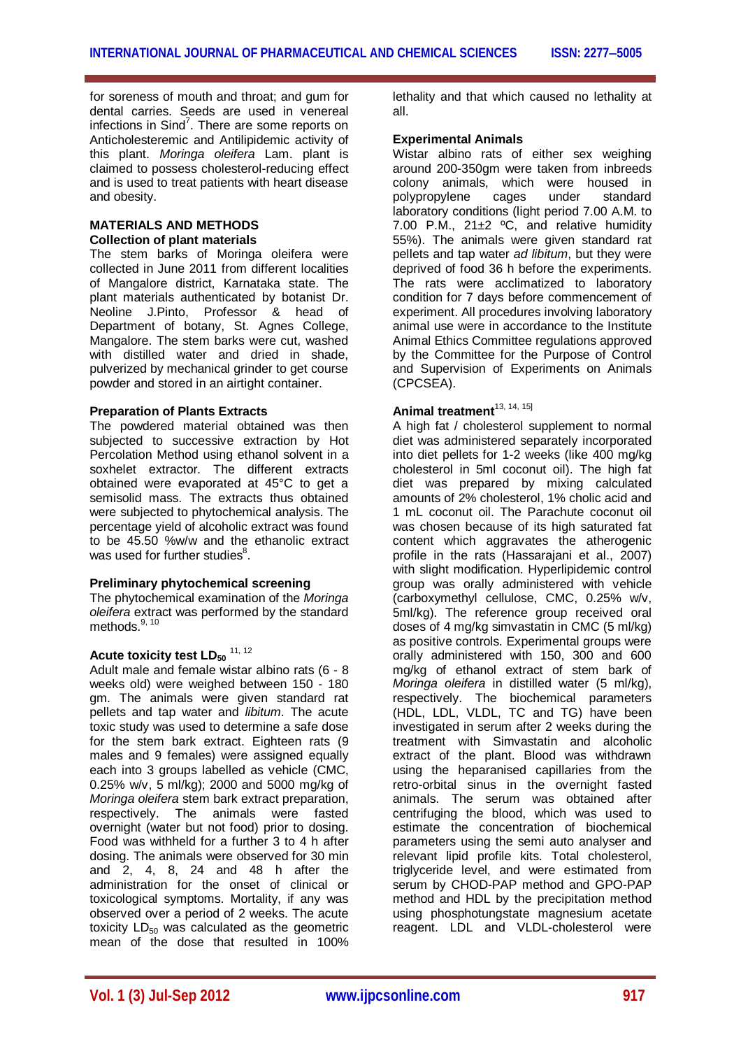for soreness of mouth and throat; and gum for dental carries. Seeds are used in venereal infections in Sind<sup>7</sup>. There are some reports on Anticholesteremic and Antilipidemic activity of this plant. *Moringa oleifera* Lam. plant is claimed to possess cholesterol-reducing effect and is used to treat patients with heart disease and obesity.

### **MATERIALS AND METHODS Collection of plant materials**

The stem barks of Moringa oleifera were collected in June 2011 from different localities of Mangalore district, Karnataka state. The plant materials authenticated by botanist Dr. Neoline J.Pinto, Professor & head of Department of botany, St. Agnes College, Mangalore. The stem barks were cut, washed with distilled water and dried in shade, pulverized by mechanical grinder to get course powder and stored in an airtight container.

# **Preparation of Plants Extracts**

The powdered material obtained was then subjected to successive extraction by Hot Percolation Method using ethanol solvent in a soxhelet extractor. The different extracts obtained were evaporated at 45°C to get a semisolid mass. The extracts thus obtained were subjected to phytochemical analysis. The percentage yield of alcoholic extract was found to be 45.50 %w/w and the ethanolic extract was used for further studies $^8$ .

# **Preliminary phytochemical screening**

The phytochemical examination of the *Moringa oleifera* extract was performed by the standard methods.<sup>9, 10</sup>

# Acute toxicity test LD<sub>50</sub> <sup>11, 12</sup>

Adult male and female wistar albino rats (6 - 8 weeks old) were weighed between 150 - 180 gm. The animals were given standard rat pellets and tap water and *libitum*. The acute toxic study was used to determine a safe dose for the stem bark extract. Eighteen rats (9 males and 9 females) were assigned equally each into 3 groups labelled as vehicle (CMC, 0.25% w/v, 5 ml/kg); 2000 and 5000 mg/kg of *Moringa oleifera* stem bark extract preparation, respectively. The animals were fasted overnight (water but not food) prior to dosing. Food was withheld for a further 3 to 4 h after dosing. The animals were observed for 30 min and 2, 4, 8, 24 and 48 h after the administration for the onset of clinical or toxicological symptoms. Mortality, if any was observed over a period of 2 weeks. The acute toxicity  $LD_{50}$  was calculated as the geometric mean of the dose that resulted in 100%

lethality and that which caused no lethality at all.

# **Experimental Animals**

Wistar albino rats of either sex weighing around 200-350gm were taken from inbreeds colony animals, which were housed in<br>polypropylene cages under standard polypropylene laboratory conditions (light period 7.00 A.M. to 7.00 P.M.,  $21\pm2$  °C, and relative humidity 55%). The animals were given standard rat pellets and tap water *ad libitum*, but they were deprived of food 36 h before the experiments. The rats were acclimatized to laboratory condition for 7 days before commencement of experiment. All procedures involving laboratory animal use were in accordance to the Institute Animal Ethics Committee regulations approved by the Committee for the Purpose of Control and Supervision of Experiments on Animals (CPCSEA).

# Animal treatment<sup>13, 14, 15]</sup>

A high fat / cholesterol supplement to normal diet was administered separately incorporated into diet pellets for 1-2 weeks (like 400 mg/kg cholesterol in 5ml coconut oil). The high fat diet was prepared by mixing calculated amounts of 2% cholesterol, 1% cholic acid and 1 mL coconut oil. The Parachute coconut oil was chosen because of its high saturated fat content which aggravates the atherogenic profile in the rats (Hassarajani et al., 2007) with slight modification. Hyperlipidemic control group was orally administered with vehicle (carboxymethyl cellulose, CMC, 0.25% w/v, 5ml/kg). The reference group received oral doses of 4 mg/kg simvastatin in CMC (5 ml/kg) as positive controls. Experimental groups were orally administered with 150, 300 and 600 mg/kg of ethanol extract of stem bark of *Moringa oleifera* in distilled water (5 ml/kg), respectively. The biochemical parameters (HDL, LDL, VLDL, TC and TG) have been investigated in serum after 2 weeks during the treatment with Simvastatin and alcoholic extract of the plant. Blood was withdrawn using the heparanised capillaries from the retro-orbital sinus in the overnight fasted animals. The serum was obtained after centrifuging the blood, which was used to estimate the concentration of biochemical parameters using the semi auto analyser and relevant lipid profile kits. Total cholesterol, triglyceride level, and were estimated from serum by CHOD-PAP method and GPO-PAP method and HDL by the precipitation method using phosphotungstate magnesium acetate reagent. LDL and VLDL-cholesterol were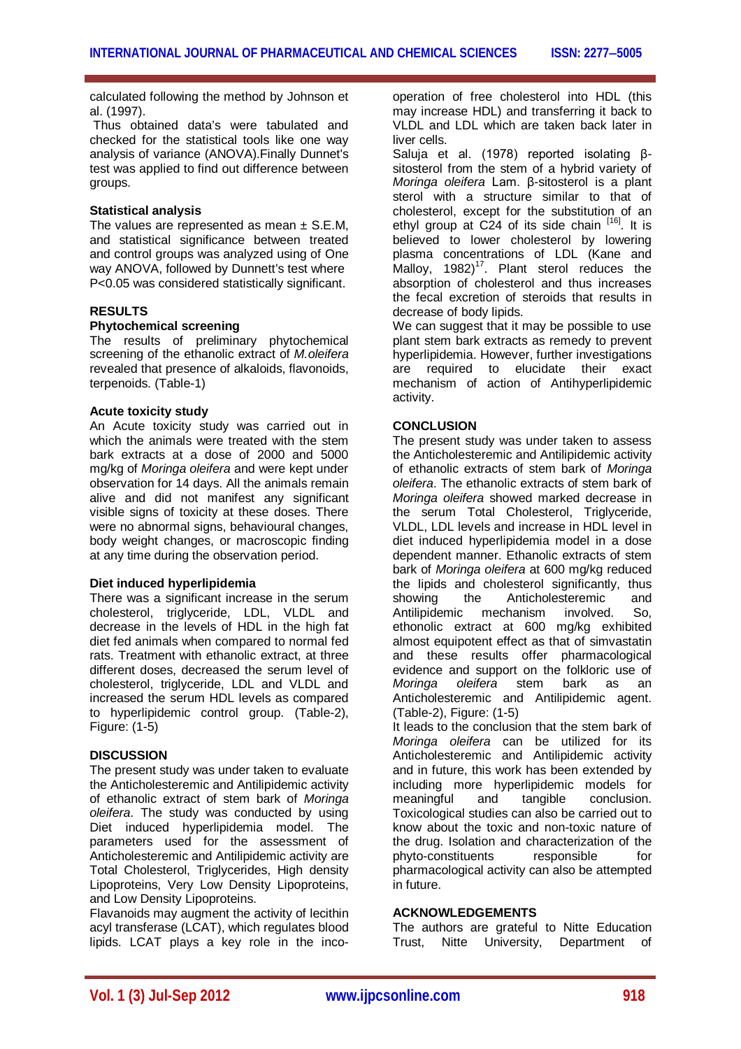calculated following the method by Johnson et al. (1997).

Thus obtained data's were tabulated and checked for the statistical tools like one way analysis of variance (ANOVA).Finally Dunnet's test was applied to find out difference between groups.

## **Statistical analysis**

The values are represented as mean  $\pm$  S.E.M. and statistical significance between treated and control groups was analyzed using of One way ANOVA, followed by Dunnett's test where P<0.05 was considered statistically significant.

### **RESULTS**

#### **Phytochemical screening**

The results of preliminary phytochemical screening of the ethanolic extract of *M.oleifera*  revealed that presence of alkaloids, flavonoids, terpenoids. (Table-1)

#### **Acute toxicity study**

An Acute toxicity study was carried out in which the animals were treated with the stem bark extracts at a dose of 2000 and 5000 mg/kg of *Moringa oleifera* and were kept under observation for 14 days. All the animals remain alive and did not manifest any significant visible signs of toxicity at these doses. There were no abnormal signs, behavioural changes, body weight changes, or macroscopic finding at any time during the observation period.

#### **Diet induced hyperlipidemia**

There was a significant increase in the serum cholesterol, triglyceride, LDL, VLDL and decrease in the levels of HDL in the high fat diet fed animals when compared to normal fed rats. Treatment with ethanolic extract, at three different doses, decreased the serum level of cholesterol, triglyceride, LDL and VLDL and increased the serum HDL levels as compared to hyperlipidemic control group. (Table-2), Figure: (1-5)

#### **DISCUSSION**

The present study was under taken to evaluate the Anticholesteremic and Antilipidemic activity of ethanolic extract of stem bark of *Moringa oleifera*. The study was conducted by using Diet induced hyperlipidemia model. The parameters used for the assessment of Anticholesteremic and Antilipidemic activity are Total Cholesterol, Triglycerides, High density Lipoproteins, Very Low Density Lipoproteins, and Low Density Lipoproteins.

Flavanoids may augment the activity of lecithin acyl transferase (LCAT), which regulates blood lipids. LCAT plays a key role in the incooperation of free cholesterol into HDL (this may increase HDL) and transferring it back to VLDL and LDL which are taken back later in liver cells.

Saluja et al. (1978) reported isolating βsitosterol from the stem of a hybrid variety of *Moringa oleifera* Lam. β-sitosterol is a plant sterol with a structure similar to that of cholesterol, except for the substitution of an ethyl group at C24 of its side chain [16]. It is believed to lower cholesterol by lowering plasma concentrations of LDL (Kane and .<br>Malloy, 1982)<sup>17</sup>. Plant sterol reduces the absorption of cholesterol and thus increases the fecal excretion of steroids that results in decrease of body lipids.

We can suggest that it may be possible to use plant stem bark extracts as remedy to prevent hyperlipidemia. However, further investigations are required to elucidate their exact mechanism of action of Antihyperlipidemic activity.

#### **CONCLUSION**

The present study was under taken to assess the Anticholesteremic and Antilipidemic activity of ethanolic extracts of stem bark of *Moringa oleifera*. The ethanolic extracts of stem bark of *Moringa oleifera* showed marked decrease in the serum Total Cholesterol, Triglyceride, VLDL, LDL levels and increase in HDL level in diet induced hyperlipidemia model in a dose dependent manner. Ethanolic extracts of stem bark of *Moringa oleifera* at 600 mg/kg reduced the lipids and cholesterol significantly, thus showing the Anticholesteremic and<br>Antilipidemic mechanism involved. So. Antilipidemic mechanism involved. So, ethonolic extract at 600 mg/kg exhibited almost equipotent effect as that of simvastatin and these results offer pharmacological evidence and support on the folkloric use of *Moringa oleifera* stem bark as an Anticholesteremic and Antilipidemic agent. (Table-2), Figure: (1-5)

It leads to the conclusion that the stem bark of *Moringa oleifera* can be utilized for its Anticholesteremic and Antilipidemic activity and in future, this work has been extended by including more hyperlipidemic models for<br>meaningful and tangible conclusion. and tangible conclusion. Toxicological studies can also be carried out to know about the toxic and non-toxic nature of the drug. Isolation and characterization of the phyto-constituents responsible for pharmacological activity can also be attempted in future.

#### **ACKNOWLEDGEMENTS**

The authors are grateful to Nitte Education Trust, Nitte University, Department of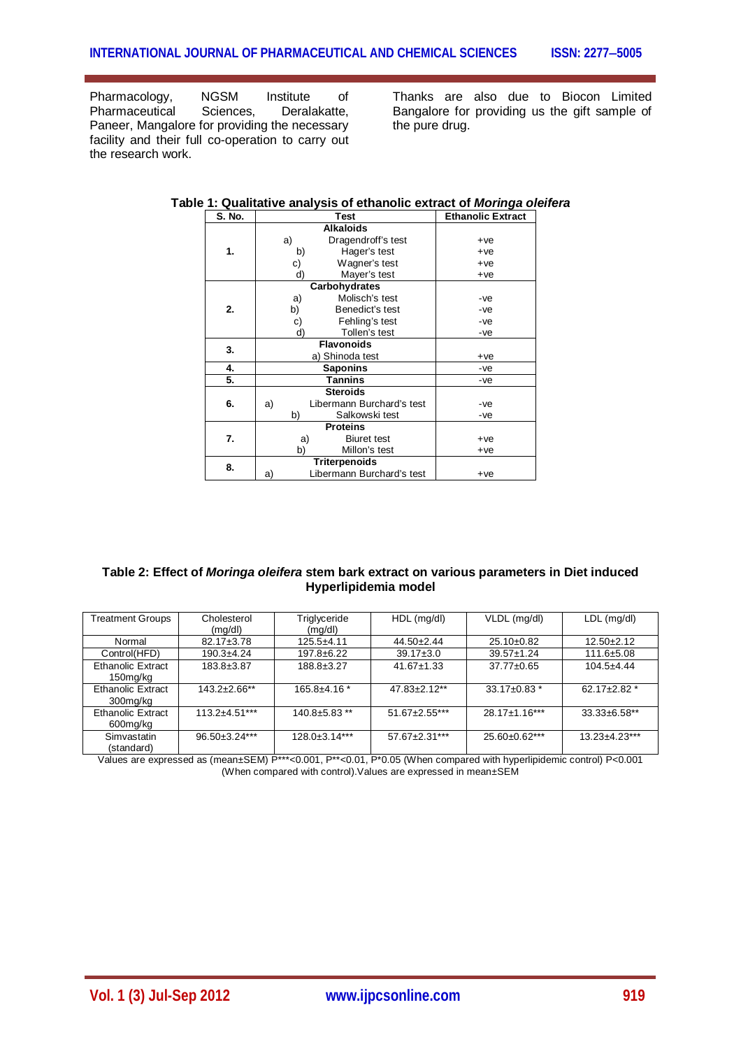Pharmacology, NGSM Institute of<br>Pharmaceutical Sciences, Deralakatte, Pharmaceutical Sciences, Deralakatte, Paneer, Mangalore for providing the necessary facility and their full co-operation to carry out the research work.

Thanks are also due to Biocon Limited Bangalore for providing us the gift sample of the pure drug.

| S. No. |                      | <b>Test</b>               | <b>Ethanolic Extract</b> |
|--------|----------------------|---------------------------|--------------------------|
|        |                      | <b>Alkaloids</b>          |                          |
| 1.     | a)                   | Dragendroff's test        | $+ve$                    |
|        | b)                   | Hager's test              | $+ve$                    |
|        | c)                   | Wagner's test             | $+ve$                    |
|        | d)                   | Mayer's test              | $+ve$                    |
|        |                      | Carbohydrates             |                          |
| 2.     | Molisch's test<br>a) |                           | -ve                      |
|        | b)                   | Benedict's test           | -ve                      |
|        | c)                   | Fehling's test            | -ve                      |
|        | d)                   | Tollen's test             | -ve                      |
| 3.     |                      | <b>Flavonoids</b>         |                          |
|        |                      | a) Shinoda test           | $+ve$                    |
| 4.     |                      | <b>Saponins</b>           | -ve                      |
| 5.     |                      | <b>Tannins</b>            | -ve                      |
| 6.     |                      | <b>Steroids</b>           |                          |
|        | a)                   | Libermann Burchard's test | -ve                      |
|        | b)                   | Salkowski test            | -ve                      |
| 7.     |                      | <b>Proteins</b>           |                          |
|        | a)                   | <b>Biuret test</b>        | $+ve$                    |
|        | b)                   | Millon's test             | $+ve$                    |
| 8.     |                      | <b>Triterpenoids</b>      |                          |
|        | a)                   | Libermann Burchard's test | $+ve$                    |

### **Table 1: Qualitative analysis of ethanolic extract of** *Moringa oleifera*

| Table 2: Effect of <i>Moringa oleifera</i> stem bark extract on various parameters in Diet induced |
|----------------------------------------------------------------------------------------------------|
| Hyperlipidemia model                                                                               |

| <b>Treatment Groups</b>              | Cholesterol<br>(mg/dl) | Triglyceride<br>(mg/dl) | $HDL$ (mg/dl)        | VLDL (mg/dl)     | $LDL$ (mg/dl)        |
|--------------------------------------|------------------------|-------------------------|----------------------|------------------|----------------------|
| Normal                               | 82.17±3.78             | $125.5 + 4.11$          | $44.50 \pm 2.44$     | 25.10±0.82       | $12.50 \pm 2.12$     |
| Control(HFD)                         | $190.3 + 4.24$         | 197.8±6.22              | $39.17 \pm 3.0$      | $39.57 \pm 1.24$ | 111.6±5.08           |
| <b>Ethanolic Extract</b><br>150mg/kg | 183.8±3.87             | 188.8±3.27              | $41.67 \pm 1.33$     | 37.77±0.65       | $104.5 + 4.44$       |
| <b>Ethanolic Extract</b><br>300mg/kg | 143.2±2.66**           | 165.8±4.16 *            | 47.83±2.12**         | 33.17±0.83 *     | 62.17 $\pm$ 2.82 $*$ |
| Ethanolic Extract<br>600mg/kg        | $113.2 + 4.51***$      | $140.8 + 5.83$ **       | $51.67 \pm 2.55$ *** | 28.17±1.16***    | $33.33 \pm 6.58$ **  |
| Simvastatin<br>(standard)            | 96.50±3.24***          | 128.0±3.14***           | 57.67±2.31***        | 25.60±0.62***    | $13.23 + 4.23***$    |

Values are expressed as (mean±SEM) P\*\*\*<0.001, P\*\*<0.01, P\*0.05 (When compared with hyperlipidemic control) P<0.001 (When compared with control).Values are expressed in mean±SEM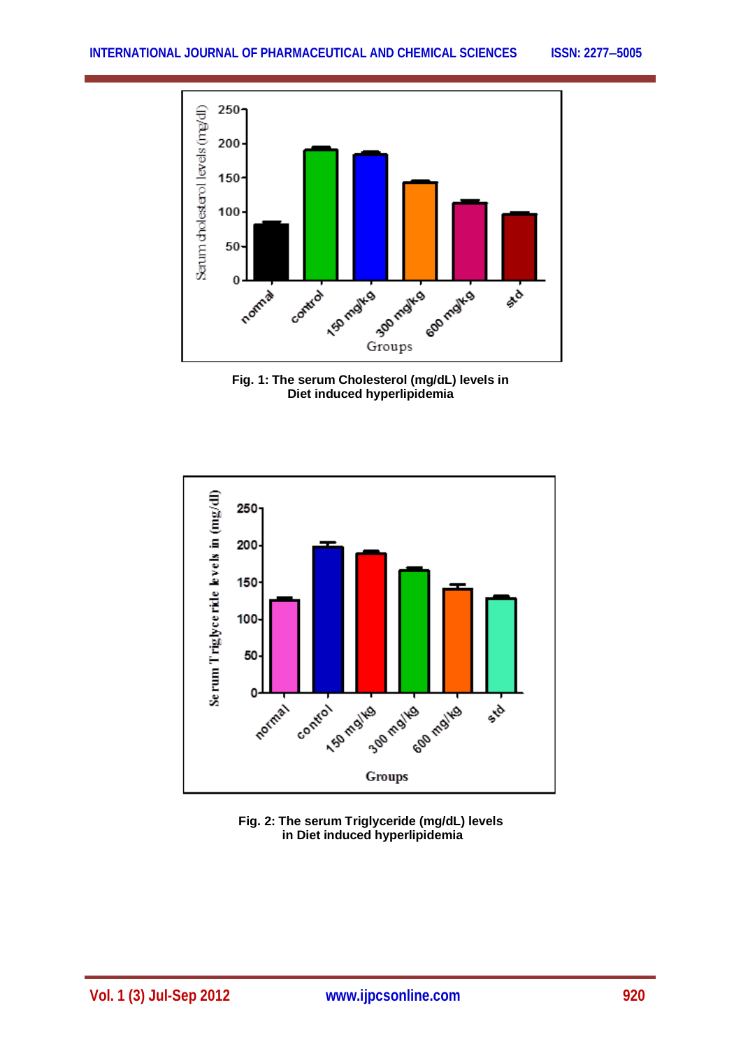





**Fig. 2: The serum Triglyceride (mg/dL) levels in Diet induced hyperlipidemia**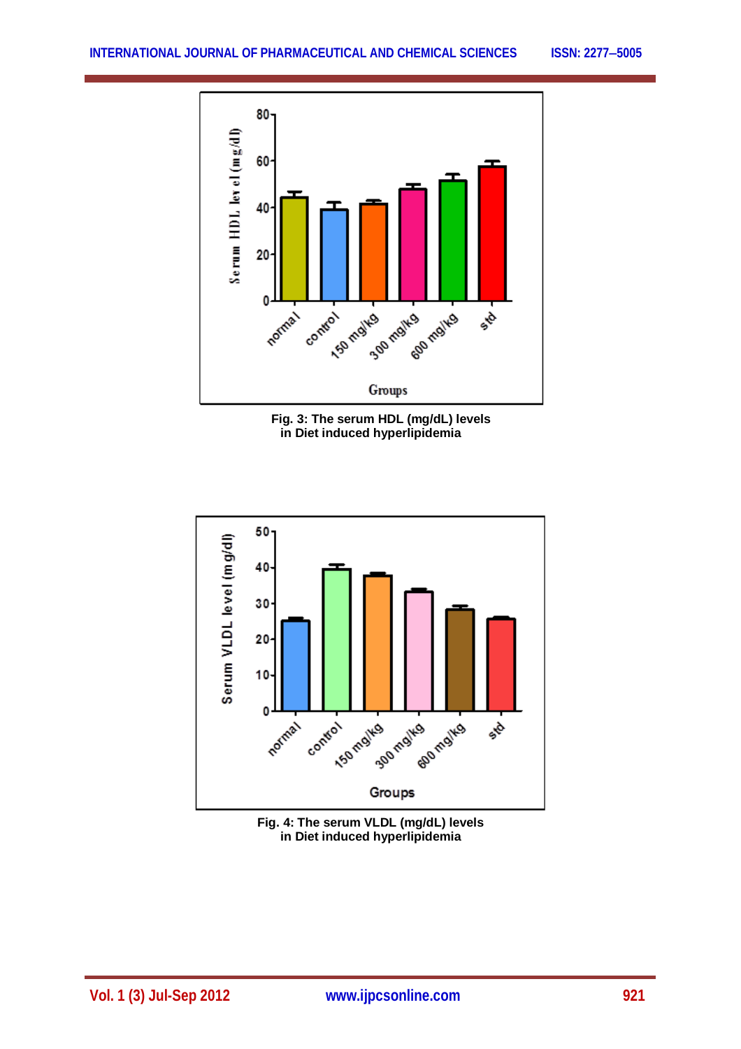





**Fig. 4: The serum VLDL (mg/dL) levels in Diet induced hyperlipidemia**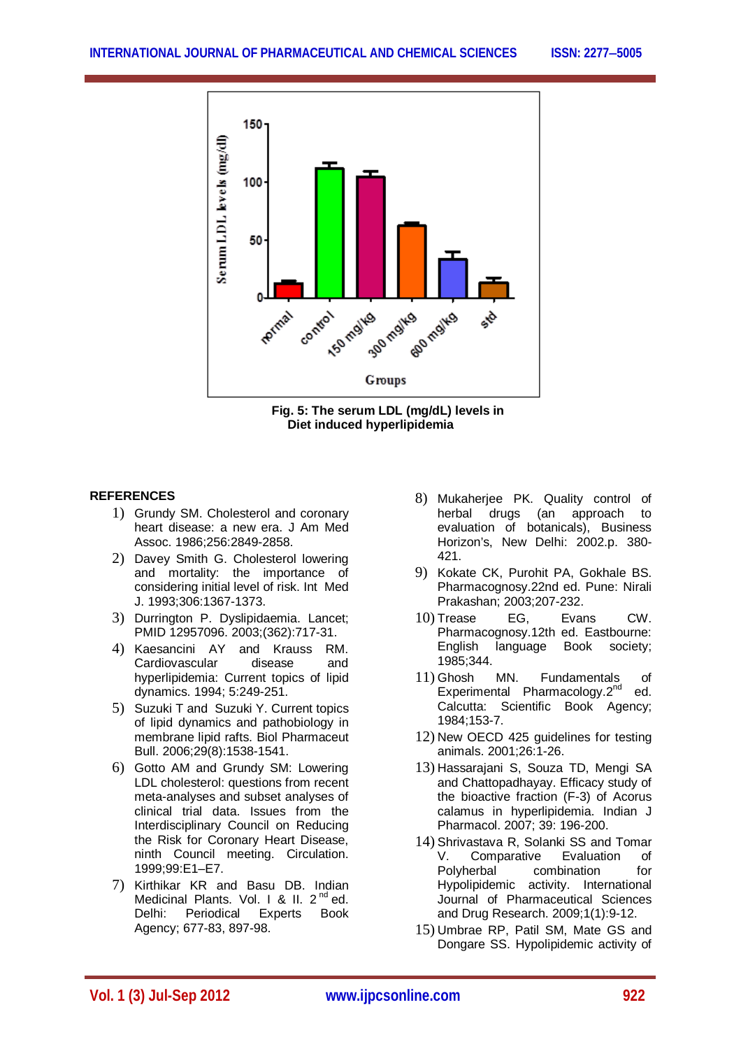



# **REFERENCES**

- 1) Grundy SM. Cholesterol and coronary heart disease: a new era. J Am Med Assoc. 1986;256:2849-2858.
- 2) Davey Smith G. Cholesterol lowering and mortality: the importance of considering initial level of risk. Int Med J. 1993;306:1367-1373.
- 3) Durrington P. Dyslipidaemia. Lancet; PMID 12957096. 2003;(362):717-31.
- 4) Kaesancini AY and Krauss RM. Cardiovascular disease and hyperlipidemia: Current topics of lipid dynamics. 1994; 5:249-251.
- 5) Suzuki T and Suzuki Y. Current topics of lipid dynamics and pathobiology in membrane lipid rafts. Biol Pharmaceut Bull. 2006;29(8):1538-1541.
- 6) Gotto AM and Grundy SM: Lowering LDL cholesterol: questions from recent meta-analyses and subset analyses of clinical trial data. Issues from the Interdisciplinary Council on Reducing the Risk for Coronary Heart Disease, ninth Council meeting. Circulation. 1999;99:E1–E7.
- 7) Kirthikar KR and Basu DB. Indian Medicinal Plants. Vol. 1 & II.  $2<sup>nd</sup>$  ed. Delhi: Periodical Experts Book Agency; 677-83, 897-98.
- 8) Mukaherjee PK. Quality control of herbal drugs (an approach to evaluation of botanicals), Business Horizon's, New Delhi: 2002.p. 380- 421.
- 9) Kokate CK, Purohit PA, Gokhale BS. Pharmacognosy.22nd ed. Pune: Nirali Prakashan; 2003;207-232.
- 10) Trease EG, Evans CW. Pharmacognosy.12th ed. Eastbourne: English language Book society; 1985;344.
- 11) Ghosh MN. Fundamentals of<br>Experimental Pharmacology.  $2^{nd}$  ed. Experimental Pharmacology.2<sup>nd</sup> Calcutta: Scientific Book Agency; 1984;153-7.
- 12) New OECD 425 guidelines for testing animals. 2001;26:1-26.
- 13) Hassarajani S, Souza TD, Mengi SA and Chattopadhayay. Efficacy study of the bioactive fraction (F-3) of Acorus calamus in hyperlipidemia. Indian J Pharmacol. 2007; 39: 196-200.
- 14) Shrivastava R, Solanki SS and Tomar Comparative Polyherbal combination for Hypolipidemic activity. International Journal of Pharmaceutical Sciences and Drug Research. 2009;1(1):9-12.
- 15) Umbrae RP, Patil SM, Mate GS and Dongare SS. Hypolipidemic activity of